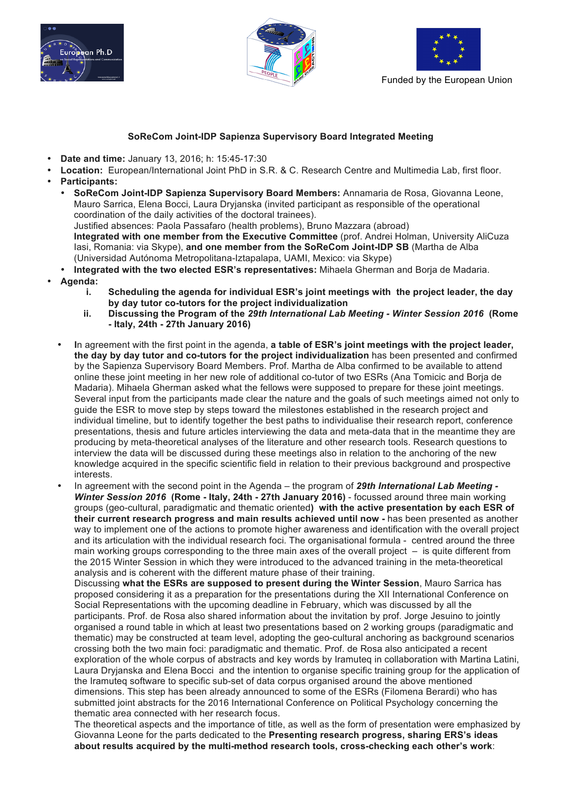





## **SoReCom Joint-IDP Sapienza Supervisory Board Integrated Meeting**

- **Date and time:** January 13, 2016; h: 15:45-17:30
- **Location:** European/International Joint PhD in S.R. & C. Research Centre and Multimedia Lab, first floor.
- **Participants:**
	- **SoReCom Joint-IDP Sapienza Supervisory Board Members:** Annamaria de Rosa, Giovanna Leone, Mauro Sarrica, Elena Bocci, Laura Dryjanska (invited participant as responsible of the operational coordination of the daily activities of the doctoral trainees). Justified absences: Paola Passafaro (health problems), Bruno Mazzara (abroad) **Integrated with one member from the Executive Committee** (prof. Andrei Holman, University AliCuza Iasi, Romania: via Skype), **and one member from the SoReCom Joint-IDP SB** (Martha de Alba (Universidad Autónoma Metropolitana-Iztapalapa, UAMI, Mexico: via Skype)
- **Integrated with the two elected ESR's representatives:** Mihaela Gherman and Borja de Madaria.
- **Agenda:**
	- **i. Scheduling the agenda for individual ESR's joint meetings with the project leader, the day by day tutor co-tutors for the project individualization**
	- **ii. Discussing the Program of the** *29th International Lab Meeting - Winter Session 2016* **(Rome - Italy, 24th - 27th January 2016)**
	- **I**n agreement with the first point in the agenda, **a table of ESR's joint meetings with the project leader, the day by day tutor and co-tutors for the project individualization** has been presented and confirmed by the Sapienza Supervisory Board Members. Prof. Martha de Alba confirmed to be available to attend online these joint meeting in her new role of additional co-tutor of two ESRs (Ana Tomicic and Borja de Madaria). Mihaela Gherman asked what the fellows were supposed to prepare for these joint meetings. Several input from the participants made clear the nature and the goals of such meetings aimed not only to guide the ESR to move step by steps toward the milestones established in the research project and individual timeline, but to identify together the best paths to individualise their research report, conference presentations, thesis and future articles interviewing the data and meta-data that in the meantime they are producing by meta-theoretical analyses of the literature and other research tools. Research questions to interview the data will be discussed during these meetings also in relation to the anchoring of the new knowledge acquired in the specific scientific field in relation to their previous background and prospective interests.
	- In agreement with the second point in the Agenda the program of *29th International Lab Meeting - Winter Session 2016* **(Rome - Italy, 24th - 27th January 2016)** - focussed around three main working groups (geo-cultural, paradigmatic and thematic oriented**) with the active presentation by each ESR of their current research progress and main results achieved until now -** has been presented as another way to implement one of the actions to promote higher awareness and identification with the overall project and its articulation with the individual research foci. The organisational formula - centred around the three main working groups corresponding to the three main axes of the overall project – is quite different from the 2015 Winter Session in which they were introduced to the advanced training in the meta-theoretical analysis and is coherent with the different mature phase of their training.

Discussing **what the ESRs are supposed to present during the Winter Session**, Mauro Sarrica has proposed considering it as a preparation for the presentations during the XII International Conference on Social Representations with the upcoming deadline in February, which was discussed by all the participants. Prof. de Rosa also shared information about the invitation by prof. Jorge Jesuino to jointly organised a round table in which at least two presentations based on 2 working groups (paradigmatic and thematic) may be constructed at team level, adopting the geo-cultural anchoring as background scenarios crossing both the two main foci: paradigmatic and thematic. Prof. de Rosa also anticipated a recent exploration of the whole corpus of abstracts and key words by Iramuteq in collaboration with Martina Latini, Laura Dryjanska and Elena Bocci and the intention to organise specific training group for the application of the Iramuteq software to specific sub-set of data corpus organised around the above mentioned dimensions. This step has been already announced to some of the ESRs (Filomena Berardi) who has submitted joint abstracts for the 2016 International Conference on Political Psychology concerning the thematic area connected with her research focus.

The theoretical aspects and the importance of title, as well as the form of presentation were emphasized by Giovanna Leone for the parts dedicated to the **Presenting research progress, sharing ERS's ideas about results acquired by the multi-method research tools, cross-checking each other's work**: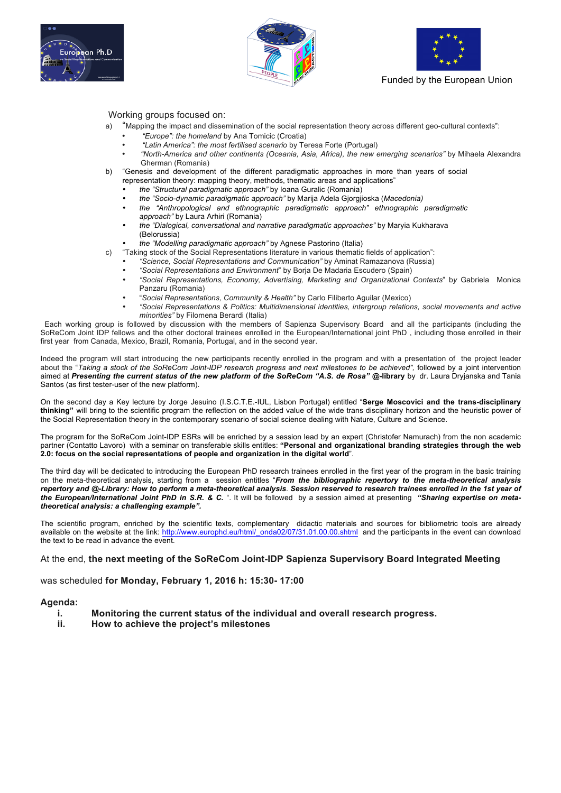





Funded by the European Union

Working groups focused on:

- a) "Mapping the impact and dissemination of the social representation theory across different geo-cultural contexts":
	- *"Europe": the homeland* by Ana Tomicic (Croatia)
	- *"Latin America": the most fertilised scenario* by Teresa Forte (Portugal)
	- *"North-America and other continents (Oceania, Asia, Africa), the new emerging scenarios"* by Mihaela Alexandra Gherman (Romania)
- b) "Genesis and development of the different paradigmatic approaches in more than years of social representation theory: mapping theory, methods, thematic areas and applications"
	- *the "Structural paradigmatic approach"* by Ioana Guralic (Romania)
	- *the "Socio-dynamic paradigmatic approach"* by Marija Adela Gjorgjioska (*Macedonia)*
	- *the "Anthropological and ethnographic paradigmatic approach" ethnographic paradigmatic approach"* by Laura Arhiri (Romania)
	- *the "Dialogical, conversational and narrative paradigmatic approaches"* by Maryia Kukharava (Belorussia)
	- *the "Modelling paradigmatic approach"* by Agnese Pastorino (Italia)
- c) "Taking stock of the Social Representations literature in various thematic fields of application":
	- *"Science, Social Representations and Communication"* by Aminat Ramazanova (Russia)
		- *"Social Representations and Environment*" by Borja De Madaria Escudero (Spain)
	- *"Social Representations, Economy, Advertising, Marketing and Organizational Contexts*" b*y* Gabriela Monica Panzaru (Romania)
	- "*Social Representations, Community & Health"* by Carlo Filiberto Aguilar (Mexico)
	- *"Social Representations & Politics: Multidimensional identities, intergroup relations, social movements and active minorities"* by Filomena Berardi (Italia)

 Each working group is followed by discussion with the members of Sapienza Supervisory Board and all the participants (including the SoReCom Joint IDP fellows and the other doctoral trainees enrolled in the European/International joint PhD , including those enrolled in their first year from Canada, Mexico, Brazil, Romania, Portugal, and in the second year.

Indeed the program will start introducing the new participants recently enrolled in the program and with a presentation of the project leader about the "*Taking a stock of the SoReCom Joint-IDP research progress and next milestones to be achieved",* followed by a joint intervention aimed at *Presenting the current status of the new platform of the SoReCom "A.S. de Rosa" @-***library** by dr. Laura Dryjanska and Tania Santos (as first tester-user of the new platform).

On the second day a Key lecture by Jorge Jesuino (I.S.C.T.E.-IUL, Lisbon Portugal) entitled "**Serge Moscovici and the trans-disciplinary thinking"** will bring to the scientific program the reflection on the added value of the wide trans disciplinary horizon and the heuristic power of the Social Representation theory in the contemporary scenario of social science dealing with Nature, Culture and Science.

The program for the SoReCom Joint-IDP ESRs will be enriched by a session lead by an expert (Christofer Namurach) from the non academic partner (Contatto Lavoro) with a seminar on transferable skills entitles: **"Personal and organizational branding strategies through the web 2.0: focus on the social representations of people and organization in the digital world**".

The third day will be dedicated to introducing the European PhD research trainees enrolled in the first year of the program in the basic training on the meta-theoretical analysis, starting from a session entitles "*From the bibliographic repertory to the meta-theoretical analysis repertory and @-Library: How to perform a meta-theoretical analysis*. *Session reserved to research trainees enrolled in the 1st year of the European/International Joint PhD in S.R. & C.* ". It will be followed by a session aimed at presenting *"Sharing expertise on metatheoretical analysis: a challenging example".*

The scientific program, enriched by the scientific texts, complementary didactic materials and sources for bibliometric tools are already available on the website at the link: http://www.europhd.eu/html/\_onda02/07/31.01.00.00.shtml and the participants in the event can download the text to be read in advance the event.

At the end, **the next meeting of the SoReCom Joint-IDP Sapienza Supervisory Board Integrated Meeting**

was scheduled **for Monday, February 1, 2016 h: 15:30- 17:00**

### **Agenda:**

- **i. Monitoring the current status of the individual and overall research progress.**
- **ii. How to achieve the project's milestones**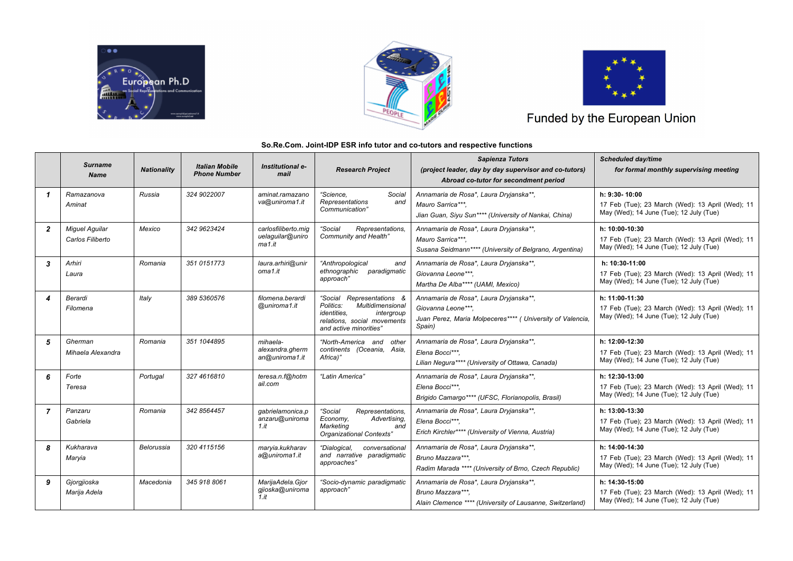





# Funded by the European Union

#### **So.Re.Com. Joint-IDP ESR info tutor and co-tutors and respective functions**

|                | <b>Surname</b><br><b>Name</b>             | <b>Nationality</b> | <b>Italian Mobile</b><br><b>Phone Number</b> | Institutional e-<br>mail                          | <b>Research Project</b>                                                                                                                                 | <b>Sapienza Tutors</b><br>(project leader, day by day supervisor and co-tutors)<br>Abroad co-tutor for secondment period            | <b>Scheduled day/time</b><br>for formal monthly supervising meeting                                           |
|----------------|-------------------------------------------|--------------------|----------------------------------------------|---------------------------------------------------|---------------------------------------------------------------------------------------------------------------------------------------------------------|-------------------------------------------------------------------------------------------------------------------------------------|---------------------------------------------------------------------------------------------------------------|
| 1              | Ramazanova<br>Aminat                      | Russia             | 324 9022007                                  | aminat.ramazano<br>va@uniroma1.it                 | "Science.<br>Social<br>Representations<br>and<br>Communication"                                                                                         | Annamaria de Rosa*, Laura Dryjanska**,<br>Mauro Sarrica***.<br>Jian Guan, Siyu Sun**** (University of Nankai, China)                | h: 9:30-10:00<br>17 Feb (Tue); 23 March (Wed): 13 April (Wed); 11<br>May (Wed); 14 June (Tue); 12 July (Tue)  |
| $\overline{2}$ | <b>Miquel Aquilar</b><br>Carlos Filiberto | Mexico             | 342 9623424                                  | carlosfiliberto.mig<br>uelaguilar@uniro<br>ma1.it | "Social<br>Representations,<br>Community and Health"                                                                                                    | Annamaria de Rosa*, Laura Dryjanska**,<br>Mauro Sarrica***.<br>Susana Seidmann**** (University of Belgrano, Argentina)              | h: 10:00-10:30<br>17 Feb (Tue); 23 March (Wed): 13 April (Wed); 11<br>May (Wed); 14 June (Tue); 12 July (Tue) |
| 3              | Arhiri<br>Laura                           | Romania            | 351 0151773                                  | laura.arhiri@unir<br>oma <sub>1.it</sub>          | "Anthropological<br>and<br>ethnographic paradigmatic<br>approach"                                                                                       | Annamaria de Rosa*, Laura Dryjanska**,<br>Giovanna Leone***.<br>Martha De Alba**** (UAMI, Mexico)                                   | h: 10:30-11:00<br>17 Feb (Tue); 23 March (Wed): 13 April (Wed); 11<br>May (Wed); 14 June (Tue); 12 July (Tue) |
|                | Berardi<br>Filomena                       | Italy              | 389 5360576                                  | filomena berardi<br>@uniroma1.it                  | "Social Representations &<br>Multidimensional<br>Politics:<br><i>identities.</i><br>intergroup<br>relations, social movements<br>and active minorities" | Annamaria de Rosa*, Laura Dryjanska**,<br>Giovanna Leone***.<br>Juan Perez, Maria Molpeceres**** ( University of Valencia<br>Spain) | h: 11:00-11:30<br>17 Feb (Tue); 23 March (Wed): 13 April (Wed); 11<br>May (Wed); 14 June (Tue); 12 July (Tue) |
| 5              | Gherman<br>Mihaela Alexandra              | Romania            | 351 1044895                                  | mihaela-<br>alexandra.gherm<br>an@uniroma1.it     | "North-America and other<br>continents (Oceania, Asia,<br>Africa)"                                                                                      | Annamaria de Rosa*, Laura Dryjanska**,<br>Elena Bocci***.<br>Lilian Negura**** (University of Ottawa, Canada)                       | h: 12:00-12:30<br>17 Feb (Tue); 23 March (Wed): 13 April (Wed); 11<br>May (Wed); 14 June (Tue); 12 July (Tue) |
| 6              | Forte<br>Teresa                           | Portugal           | 327 4616810                                  | teresa.n.f@hotm<br>ail.com                        | "Latin America"                                                                                                                                         | Annamaria de Rosa*, Laura Dryjanska**,<br>Elena Bocci***.<br>Brigido Camargo**** (UFSC, Florianopolis, Brasil)                      | h: 12:30-13:00<br>17 Feb (Tue); 23 March (Wed): 13 April (Wed); 11<br>May (Wed); 14 June (Tue); 12 July (Tue) |
| $\overline{7}$ | Panzaru<br>Gabriela                       | Romania            | 342 8564457                                  | gabrielamonica.p<br>anzaru@uniroma<br>$1.$ it     | "Social<br>Representations,<br>Economy,<br>Advertising,<br>Marketing<br>and<br>Organizational Contexts"                                                 | Annamaria de Rosa*, Laura Dryjanska**,<br>Elena Bocci***.<br>Erich Kirchler**** (University of Vienna, Austria)                     | h: 13:00-13:30<br>17 Feb (Tue); 23 March (Wed): 13 April (Wed); 11<br>May (Wed); 14 June (Tue); 12 July (Tue) |
| 8              | Kukharava<br>Maryia                       | Belorussia         | 320 4115156                                  | maryia.kukharav<br>a@uniroma1.it                  | "Dialogical,<br>conversational<br>and narrative paradigmatic<br>approaches"                                                                             | Annamaria de Rosa*, Laura Dryjanska**,<br>Bruno Mazzara***.<br>Radim Marada **** (University of Brno, Czech Republic)               | h: 14:00-14:30<br>17 Feb (Tue); 23 March (Wed): 13 April (Wed); 11<br>May (Wed); 14 June (Tue); 12 July (Tue) |
| 9              | Giorgiioska<br>Mariia Adela               | Macedonia          | 345 918 8061                                 | MarijaAdela.Gjor<br>gjioska@uniroma<br>$1.$ it    | "Socio-dynamic paradigmatic<br>approach"                                                                                                                | Annamaria de Rosa*, Laura Dryjanska**,<br>Bruno Mazzara***.<br>Alain Clemence **** (University of Lausanne, Switzerland)            | h: 14:30-15:00<br>17 Feb (Tue); 23 March (Wed): 13 April (Wed); 11<br>May (Wed); 14 June (Tue); 12 July (Tue) |